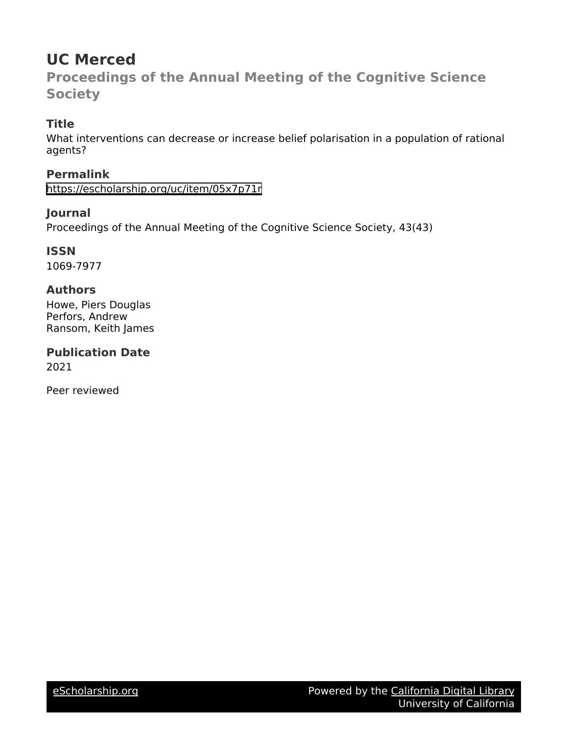# **UC Merced**

**Proceedings of the Annual Meeting of the Cognitive Science Society**

# **Title**

What interventions can decrease or increase belief polarisation in a population of rational agents?

# **Permalink**

<https://escholarship.org/uc/item/05x7p71r>

## **Journal**

Proceedings of the Annual Meeting of the Cognitive Science Society, 43(43)

# **ISSN**

1069-7977

## **Authors**

Howe, Piers Douglas Perfors, Andrew Ransom, Keith James

**Publication Date** 2021

Peer reviewed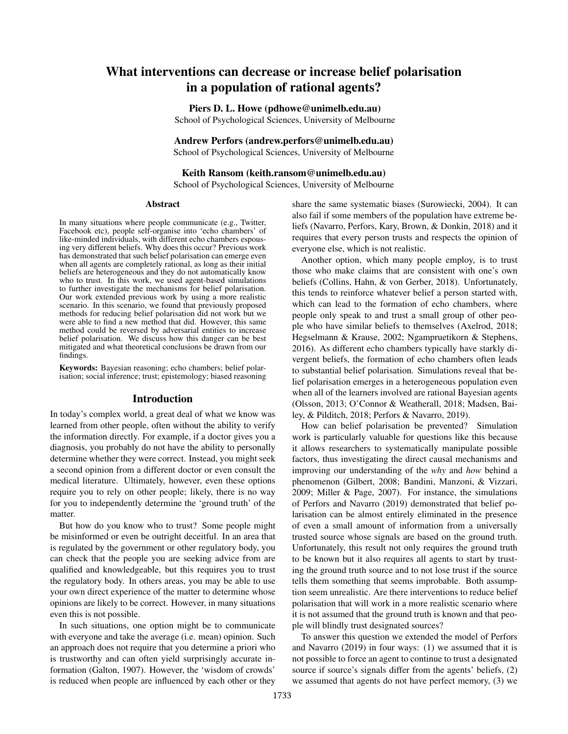# What interventions can decrease or increase belief polarisation in a population of rational agents?

Piers D. L. Howe (pdhowe@unimelb.edu.au)

School of Psychological Sciences, University of Melbourne

### Andrew Perfors (andrew.perfors@unimelb.edu.au)

School of Psychological Sciences, University of Melbourne

#### Keith Ransom (keith.ransom@unimelb.edu.au) School of Psychological Sciences, University of Melbourne

#### Abstract

In many situations where people communicate (e.g., Twitter, Facebook etc), people self-organise into 'echo chambers' of like-minded individuals, with different echo chambers espousing very different beliefs. Why does this occur? Previous work has demonstrated that such belief polarisation can emerge even when all agents are completely rational, as long as their initial beliefs are heterogeneous and they do not automatically know who to trust. In this work, we used agent-based simulations to further investigate the mechanisms for belief polarisation. Our work extended previous work by using a more realistic scenario. In this scenario, we found that previously proposed methods for reducing belief polarisation did not work but we were able to find a new method that did. However, this same method could be reversed by adversarial entities to increase belief polarisation. We discuss how this danger can be best mitigated and what theoretical conclusions be drawn from our findings.

Keywords: Bayesian reasoning; echo chambers; belief polarisation; social inference; trust; epistemology; biased reasoning

#### Introduction

In today's complex world, a great deal of what we know was learned from other people, often without the ability to verify the information directly. For example, if a doctor gives you a diagnosis, you probably do not have the ability to personally determine whether they were correct. Instead, you might seek a second opinion from a different doctor or even consult the medical literature. Ultimately, however, even these options require you to rely on other people; likely, there is no way for you to independently determine the 'ground truth' of the matter.

But how do you know who to trust? Some people might be misinformed or even be outright deceitful. In an area that is regulated by the government or other regulatory body, you can check that the people you are seeking advice from are qualified and knowledgeable, but this requires you to trust the regulatory body. In others areas, you may be able to use your own direct experience of the matter to determine whose opinions are likely to be correct. However, in many situations even this is not possible.

In such situations, one option might be to communicate with everyone and take the average (i.e. mean) opinion. Such an approach does not require that you determine a priori who is trustworthy and can often yield surprisingly accurate information (Galton, 1907). However, the 'wisdom of crowds' is reduced when people are influenced by each other or they share the same systematic biases (Surowiecki, 2004). It can also fail if some members of the population have extreme beliefs (Navarro, Perfors, Kary, Brown, & Donkin, 2018) and it requires that every person trusts and respects the opinion of everyone else, which is not realistic.

Another option, which many people employ, is to trust those who make claims that are consistent with one's own beliefs (Collins, Hahn, & von Gerber, 2018). Unfortunately, this tends to reinforce whatever belief a person started with, which can lead to the formation of echo chambers, where people only speak to and trust a small group of other people who have similar beliefs to themselves (Axelrod, 2018; Hegselmann & Krause, 2002; Ngampruetikorn & Stephens, 2016). As different echo chambers typically have starkly divergent beliefs, the formation of echo chambers often leads to substantial belief polarisation. Simulations reveal that belief polarisation emerges in a heterogeneous population even when all of the learners involved are rational Bayesian agents (Olsson, 2013; O'Connor & Weatherall, 2018; Madsen, Bailey, & Pilditch, 2018; Perfors & Navarro, 2019).

How can belief polarisation be prevented? Simulation work is particularly valuable for questions like this because it allows researchers to systematically manipulate possible factors, thus investigating the direct causal mechanisms and improving our understanding of the *why* and *how* behind a phenomenon (Gilbert, 2008; Bandini, Manzoni, & Vizzari, 2009; Miller & Page, 2007). For instance, the simulations of Perfors and Navarro (2019) demonstrated that belief polarisation can be almost entirely eliminated in the presence of even a small amount of information from a universally trusted source whose signals are based on the ground truth. Unfortunately, this result not only requires the ground truth to be known but it also requires all agents to start by trusting the ground truth source and to not lose trust if the source tells them something that seems improbable. Both assumption seem unrealistic. Are there interventions to reduce belief polarisation that will work in a more realistic scenario where it is not assumed that the ground truth is known and that people will blindly trust designated sources?

To answer this question we extended the model of Perfors and Navarro (2019) in four ways: (1) we assumed that it is not possible to force an agent to continue to trust a designated source if source's signals differ from the agents' beliefs, (2) we assumed that agents do not have perfect memory, (3) we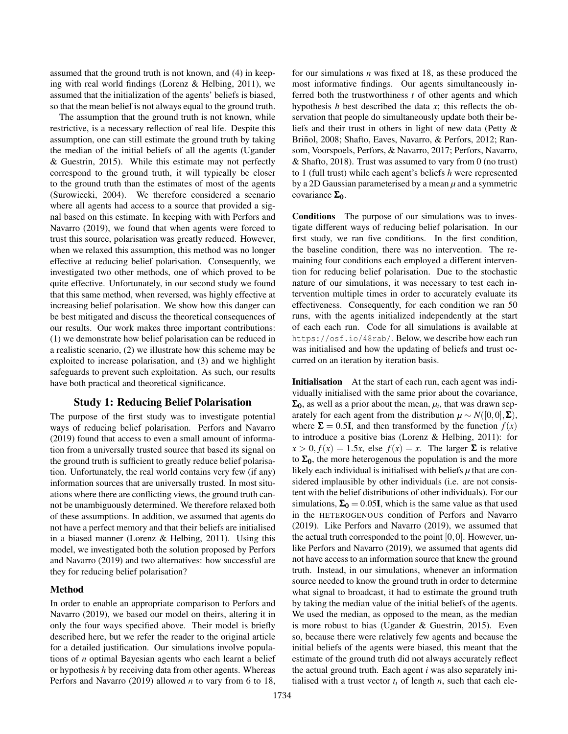assumed that the ground truth is not known, and (4) in keeping with real world findings (Lorenz & Helbing, 2011), we assumed that the initialization of the agents' beliefs is biased, so that the mean belief is not always equal to the ground truth.

The assumption that the ground truth is not known, while restrictive, is a necessary reflection of real life. Despite this assumption, one can still estimate the ground truth by taking the median of the initial beliefs of all the agents (Ugander & Guestrin, 2015). While this estimate may not perfectly correspond to the ground truth, it will typically be closer to the ground truth than the estimates of most of the agents (Surowiecki, 2004). We therefore considered a scenario where all agents had access to a source that provided a signal based on this estimate. In keeping with with Perfors and Navarro (2019), we found that when agents were forced to trust this source, polarisation was greatly reduced. However, when we relaxed this assumption, this method was no longer effective at reducing belief polarisation. Consequently, we investigated two other methods, one of which proved to be quite effective. Unfortunately, in our second study we found that this same method, when reversed, was highly effective at increasing belief polarisation. We show how this danger can be best mitigated and discuss the theoretical consequences of our results. Our work makes three important contributions: (1) we demonstrate how belief polarisation can be reduced in a realistic scenario, (2) we illustrate how this scheme may be exploited to increase polarisation, and (3) and we highlight safeguards to prevent such exploitation. As such, our results have both practical and theoretical significance.

### Study 1: Reducing Belief Polarisation

The purpose of the first study was to investigate potential ways of reducing belief polarisation. Perfors and Navarro (2019) found that access to even a small amount of information from a universally trusted source that based its signal on the ground truth is sufficient to greatly reduce belief polarisation. Unfortunately, the real world contains very few (if any) information sources that are universally trusted. In most situations where there are conflicting views, the ground truth cannot be unambiguously determined. We therefore relaxed both of these assumptions. In addition, we assumed that agents do not have a perfect memory and that their beliefs are initialised in a biased manner (Lorenz & Helbing, 2011). Using this model, we investigated both the solution proposed by Perfors and Navarro (2019) and two alternatives: how successful are they for reducing belief polarisation?

### Method

In order to enable an appropriate comparison to Perfors and Navarro (2019), we based our model on theirs, altering it in only the four ways specified above. Their model is briefly described here, but we refer the reader to the original article for a detailed justification. Our simulations involve populations of *n* optimal Bayesian agents who each learnt a belief or hypothesis *h* by receiving data from other agents. Whereas Perfors and Navarro (2019) allowed *n* to vary from 6 to 18, for our simulations *n* was fixed at 18, as these produced the most informative findings. Our agents simultaneously inferred both the trustworthiness *t* of other agents and which hypothesis *h* best described the data *x*; this reflects the observation that people do simultaneously update both their beliefs and their trust in others in light of new data (Petty & Briñol, 2008; Shafto, Eaves, Navarro, & Perfors, 2012; Ransom, Voorspoels, Perfors, & Navarro, 2017; Perfors, Navarro, & Shafto, 2018). Trust was assumed to vary from 0 (no trust) to 1 (full trust) while each agent's beliefs *h* were represented by a 2D Gaussian parameterised by a mean *µ* and a symmetric covariance  $\Sigma_0$ .

Conditions The purpose of our simulations was to investigate different ways of reducing belief polarisation. In our first study, we ran five conditions. In the first condition, the baseline condition, there was no intervention. The remaining four conditions each employed a different intervention for reducing belief polarisation. Due to the stochastic nature of our simulations, it was necessary to test each intervention multiple times in order to accurately evaluate its effectiveness. Consequently, for each condition we ran 50 runs, with the agents initialized independently at the start of each each run. Code for all simulations is available at https://osf.io/48rab/. Below, we describe how each run was initialised and how the updating of beliefs and trust occurred on an iteration by iteration basis.

Initialisation At the start of each run, each agent was individually initialised with the same prior about the covariance,  $\Sigma_0$ , as well as a prior about the mean,  $\mu_i$ , that was drawn separately for each agent from the distribution  $\mu \sim N([0,0], \Sigma)$ , where  $\Sigma = 0.5$ **I**, and then transformed by the function  $f(x)$ to introduce a positive bias (Lorenz & Helbing, 2011): for  $x > 0, f(x) = 1.5x$ , else  $f(x) = x$ . The larger  $\Sigma$  is relative to  $\Sigma_0$ , the more heterogenous the population is and the more likely each individual is initialised with beliefs  $\mu$  that are considered implausible by other individuals (i.e. are not consistent with the belief distributions of other individuals). For our simulations,  $\Sigma_0 = 0.05$ I, which is the same value as that used in the HETEROGENOUS condition of Perfors and Navarro (2019). Like Perfors and Navarro (2019), we assumed that the actual truth corresponded to the point  $[0,0]$ . However, unlike Perfors and Navarro (2019), we assumed that agents did not have access to an information source that knew the ground truth. Instead, in our simulations, whenever an information source needed to know the ground truth in order to determine what signal to broadcast, it had to estimate the ground truth by taking the median value of the initial beliefs of the agents. We used the median, as opposed to the mean, as the median is more robust to bias (Ugander & Guestrin, 2015). Even so, because there were relatively few agents and because the initial beliefs of the agents were biased, this meant that the estimate of the ground truth did not always accurately reflect the actual ground truth. Each agent *i* was also separately initialised with a trust vector  $t_i$  of length  $n$ , such that each ele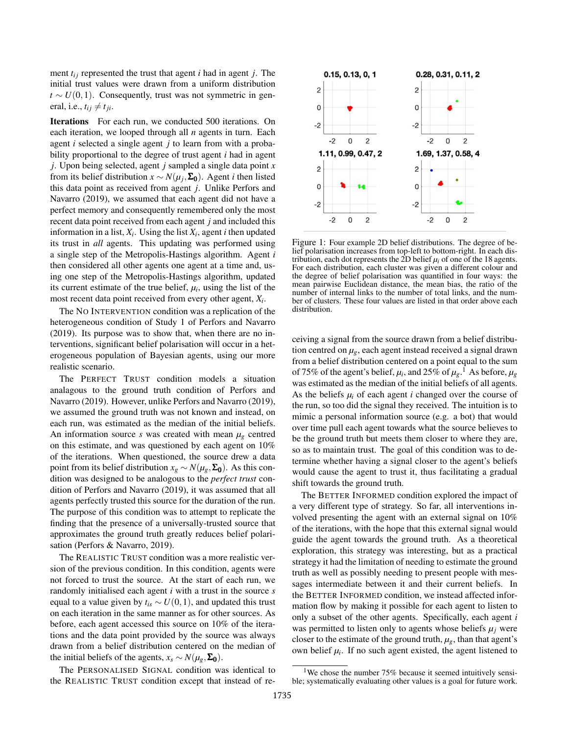ment  $t_{ij}$  represented the trust that agent *i* had in agent *j*. The initial trust values were drawn from a uniform distribution  $t \sim U(0,1)$ . Consequently, trust was not symmetric in general, i.e.,  $t_{ij} \neq t_{ji}$ .

Iterations For each run, we conducted 500 iterations. On each iteration, we looped through all *n* agents in turn. Each agent *i* selected a single agent *j* to learn from with a probability proportional to the degree of trust agent *i* had in agent *j*. Upon being selected, agent *j* sampled a single data point *x* from its belief distribution  $x \sim N(\mu_j, \Sigma_0)$ . Agent *i* then listed this data point as received from agent *j*. Unlike Perfors and Navarro (2019), we assumed that each agent did not have a perfect memory and consequently remembered only the most recent data point received from each agent *j* and included this information in a list,  $X_i$ . Using the list  $X_i$ , agent *i* then updated its trust in *all* agents. This updating was performed using a single step of the Metropolis-Hastings algorithm. Agent *i* then considered all other agents one agent at a time and, using one step of the Metropolis-Hastings algorithm, updated its current estimate of the true belief,  $\mu_i$ , using the list of the most recent data point received from every other agent, *X<sup>i</sup>* .

The NO INTERVENTION condition was a replication of the heterogeneous condition of Study 1 of Perfors and Navarro (2019). Its purpose was to show that, when there are no interventions, significant belief polarisation will occur in a heterogeneous population of Bayesian agents, using our more realistic scenario.

The PERFECT TRUST condition models a situation analagous to the ground truth condition of Perfors and Navarro (2019). However, unlike Perfors and Navarro (2019), we assumed the ground truth was not known and instead, on each run, was estimated as the median of the initial beliefs. An information source *s* was created with mean  $\mu_{\varrho}$  centred on this estimate, and was questioned by each agent on 10% of the iterations. When questioned, the source drew a data point from its belief distribution  $x_g \sim N(\mu_g, \Sigma_0)$ . As this condition was designed to be analogous to the *perfect trust* condition of Perfors and Navarro (2019), it was assumed that all agents perfectly trusted this source for the duration of the run. The purpose of this condition was to attempt to replicate the finding that the presence of a universally-trusted source that approximates the ground truth greatly reduces belief polarisation (Perfors & Navarro, 2019).

The REALISTIC TRUST condition was a more realistic version of the previous condition. In this condition, agents were not forced to trust the source. At the start of each run, we randomly initialised each agent *i* with a trust in the source *s* equal to a value given by  $t_{is} \sim U(0,1)$ , and updated this trust on each iteration in the same manner as for other sources. As before, each agent accessed this source on 10% of the iterations and the data point provided by the source was always drawn from a belief distribution centered on the median of the initial beliefs of the agents,  $x_s \sim N(\mu_g, \Sigma_0)$ .

The PERSONALISED SIGNAL condition was identical to the REALISTIC TRUST condition except that instead of re-



Figure 1: Four example 2D belief distributions. The degree of belief polarisation increases from top-left to bottom-right. In each distribution, each dot represents the  $\overline{2}D$  belief  $\mu_i$  of one of the 18 agents. For each distribution, each cluster was given a different colour and the degree of belief polarisation was quantified in four ways: the mean pairwise Euclidean distance, the mean bias, the ratio of the number of internal links to the number of total links, and the number of clusters. These four values are listed in that order above each distribution.

ceiving a signal from the source drawn from a belief distribution centred on  $\mu_g$ , each agent instead received a signal drawn from a belief distribution centered on a point equal to the sum of 75% of the agent's belief,  $\mu_i$ , and 25% of  $\mu_g$ .<sup>1</sup> As before,  $\mu_g$ was estimated as the median of the initial beliefs of all agents. As the beliefs  $\mu_i$  of each agent *i* changed over the course of the run, so too did the signal they received. The intuition is to mimic a personal information source (e.g. a bot) that would over time pull each agent towards what the source believes to be the ground truth but meets them closer to where they are, so as to maintain trust. The goal of this condition was to determine whether having a signal closer to the agent's beliefs would cause the agent to trust it, thus facilitating a gradual shift towards the ground truth.

The BETTER INFORMED condition explored the impact of a very different type of strategy. So far, all interventions involved presenting the agent with an external signal on 10% of the iterations, with the hope that this external signal would guide the agent towards the ground truth. As a theoretical exploration, this strategy was interesting, but as a practical strategy it had the limitation of needing to estimate the ground truth as well as possibly needing to present people with messages intermediate between it and their current beliefs. In the BETTER INFORMED condition, we instead affected information flow by making it possible for each agent to listen to only a subset of the other agents. Specifically, each agent *i* was permitted to listen only to agents whose beliefs  $\mu_i$  were closer to the estimate of the ground truth,  $\mu_{\varrho}$ , than that agent's own belief  $\mu_i$ . If no such agent existed, the agent listened to

<sup>&</sup>lt;sup>1</sup>We chose the number  $75\%$  because it seemed intuitively sensible; systematically evaluating other values is a goal for future work.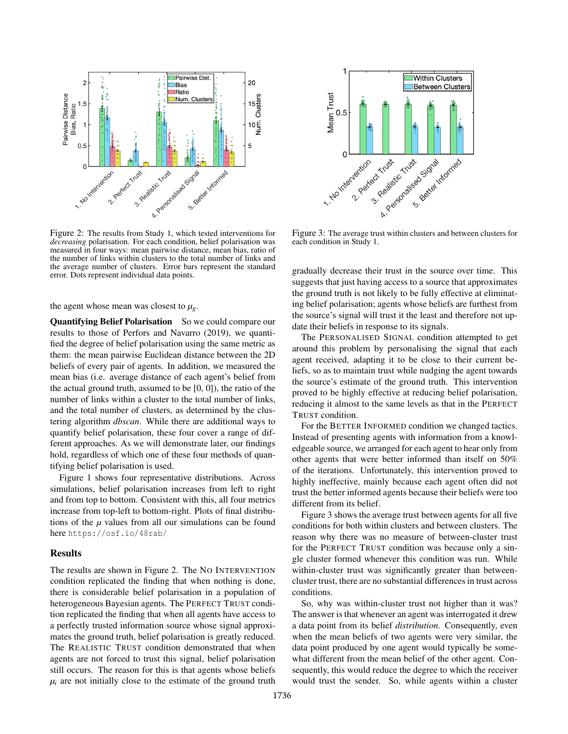

Figure 2: The results from Study 1, which tested interventions for *decreasing* polarisation. For each condition, belief polarisation was measured in four ways: mean pairwise distance, mean bias, ratio of the number of links within clusters to the total number of links and the average number of clusters. Error bars represent the standard error. Dots represent individual data points.

the agent whose mean was closest to  $\mu_{g}$ .

Quantifying Belief Polarisation So we could compare our results to those of Perfors and Navarro (2019), we quantified the degree of belief polarisation using the same metric as them: the mean pairwise Euclidean distance between the 2D beliefs of every pair of agents. In addition, we measured the mean bias (i.e. average distance of each agent's belief from the actual ground truth, assumed to be [0, 0]), the ratio of the number of links within a cluster to the total number of links, and the total number of clusters, as determined by the clustering algorithm *dbscan*. While there are additional ways to quantify belief polarisation, these four cover a range of different approaches. As we will demonstrate later, our findings hold, regardless of which one of these four methods of quantifying belief polarisation is used.

Figure 1 shows four representative distributions. Across simulations, belief polarisation increases from left to right and from top to bottom. Consistent with this, all four metrics increase from top-left to bottom-right. Plots of final distributions of the  $\mu$  values from all our simulations can be found here https://osf.io/48rab/

#### Results

The results are shown in Figure 2. The NO INTERVENTION condition replicated the finding that when nothing is done, there is considerable belief polarisation in a population of heterogeneous Bayesian agents. The PERFECT TRUST condition replicated the finding that when all agents have access to a perfectly trusted information source whose signal approximates the ground truth, belief polarisation is greatly reduced. The REALISTIC TRUST condition demonstrated that when agents are not forced to trust this signal, belief polarisation still occurs. The reason for this is that agents whose beliefs  $\mu_i$  are not initially close to the estimate of the ground truth



each condition in Study 1.

gradually decrease their trust in the source over time. This suggests that just having access to a source that approximates the ground truth is not likely to be fully effective at eliminating belief polarisation; agents whose beliefs are furthest from the source's signal will trust it the least and therefore not update their beliefs in response to its signals.

The PERSONALISED SIGNAL condition attempted to get around this problem by personalising the signal that each agent received, adapting it to be close to their current beliefs, so as to maintain trust while nudging the agent towards the source's estimate of the ground truth. This intervention proved to be highly effective at reducing belief polarisation, reducing it almost to the same levels as that in the PERFECT TRUST condition.

For the BETTER INFORMED condition we changed tactics. Instead of presenting agents with information from a knowledgeable source, we arranged for each agent to hear only from other agents that were better informed than itself on 50% of the iterations. Unfortunately, this intervention proved to highly ineffective, mainly because each agent often did not trust the better informed agents because their beliefs were too different from its belief.

Figure 3 shows the average trust between agents for all five conditions for both within clusters and between clusters. The reason why there was no measure of between-cluster trust for the PERFECT TRUST condition was because only a single cluster formed whenever this condition was run. While within-cluster trust was significantly greater than betweencluster trust, there are no substantial differences in trust across conditions.

So, why was within-cluster trust not higher than it was? The answer is that whenever an agent was interrogated it drew a data point from its belief *distribution*. Consequently, even when the mean beliefs of two agents were very similar, the data point produced by one agent would typically be somewhat different from the mean belief of the other agent. Consequently, this would reduce the degree to which the receiver would trust the sender. So, while agents within a cluster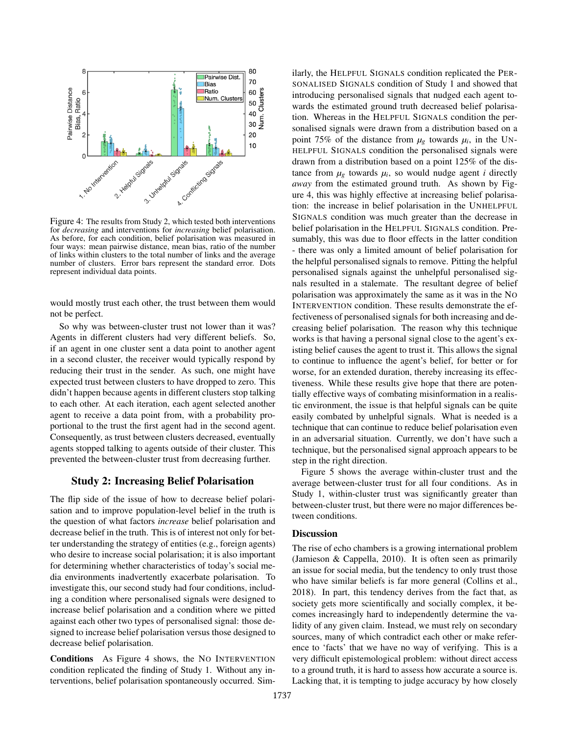

Figure 4: The results from Study 2, which tested both interventions for *decreasing* and interventions for *increasing* belief polarisation. As before, for each condition, belief polarisation was measured in four ways: mean pairwise distance, mean bias, ratio of the number of links within clusters to the total number of links and the average number of clusters. Error bars represent the standard error. Dots represent individual data points.

would mostly trust each other, the trust between them would not be perfect.

So why was between-cluster trust not lower than it was? Agents in different clusters had very different beliefs. So, if an agent in one cluster sent a data point to another agent in a second cluster, the receiver would typically respond by reducing their trust in the sender. As such, one might have expected trust between clusters to have dropped to zero. This didn't happen because agents in different clusters stop talking to each other. At each iteration, each agent selected another agent to receive a data point from, with a probability proportional to the trust the first agent had in the second agent. Consequently, as trust between clusters decreased, eventually agents stopped talking to agents outside of their cluster. This prevented the between-cluster trust from decreasing further.

### Study 2: Increasing Belief Polarisation

The flip side of the issue of how to decrease belief polarisation and to improve population-level belief in the truth is the question of what factors *increase* belief polarisation and decrease belief in the truth. This is of interest not only for better understanding the strategy of entities (e.g., foreign agents) who desire to increase social polarisation; it is also important for determining whether characteristics of today's social media environments inadvertently exacerbate polarisation. To investigate this, our second study had four conditions, including a condition where personalised signals were designed to increase belief polarisation and a condition where we pitted against each other two types of personalised signal: those designed to increase belief polarisation versus those designed to decrease belief polarisation.

Conditions As Figure 4 shows, the NO INTERVENTION condition replicated the finding of Study 1. Without any interventions, belief polarisation spontaneously occurred. Similarly, the HELPFUL SIGNALS condition replicated the PER-SONALISED SIGNALS condition of Study 1 and showed that introducing personalised signals that nudged each agent towards the estimated ground truth decreased belief polarisation. Whereas in the HELPFUL SIGNALS condition the personalised signals were drawn from a distribution based on a point 75% of the distance from  $\mu_g$  towards  $\mu_i$ , in the UN-HELPFUL SIGNALS condition the personalised signals were drawn from a distribution based on a point 125% of the distance from  $\mu_g$  towards  $\mu_i$ , so would nudge agent *i* directly *away* from the estimated ground truth. As shown by Figure 4, this was highly effective at increasing belief polarisation: the increase in belief polarisation in the UNHELPFUL SIGNALS condition was much greater than the decrease in belief polarisation in the HELPFUL SIGNALS condition. Presumably, this was due to floor effects in the latter condition - there was only a limited amount of belief polarisation for the helpful personalised signals to remove. Pitting the helpful personalised signals against the unhelpful personalised signals resulted in a stalemate. The resultant degree of belief polarisation was approximately the same as it was in the NO INTERVENTION condition. These results demonstrate the effectiveness of personalised signals for both increasing and decreasing belief polarisation. The reason why this technique works is that having a personal signal close to the agent's existing belief causes the agent to trust it. This allows the signal to continue to influence the agent's belief, for better or for worse, for an extended duration, thereby increasing its effectiveness. While these results give hope that there are potentially effective ways of combating misinformation in a realistic environment, the issue is that helpful signals can be quite easily combated by unhelpful signals. What is needed is a technique that can continue to reduce belief polarisation even in an adversarial situation. Currently, we don't have such a technique, but the personalised signal approach appears to be step in the right direction.

Figure 5 shows the average within-cluster trust and the average between-cluster trust for all four conditions. As in Study 1, within-cluster trust was significantly greater than between-cluster trust, but there were no major differences between conditions.

### **Discussion**

The rise of echo chambers is a growing international problem (Jamieson & Cappella, 2010). It is often seen as primarily an issue for social media, but the tendency to only trust those who have similar beliefs is far more general (Collins et al., 2018). In part, this tendency derives from the fact that, as society gets more scientifically and socially complex, it becomes increasingly hard to independently determine the validity of any given claim. Instead, we must rely on secondary sources, many of which contradict each other or make reference to 'facts' that we have no way of verifying. This is a very difficult epistemological problem: without direct access to a ground truth, it is hard to assess how accurate a source is. Lacking that, it is tempting to judge accuracy by how closely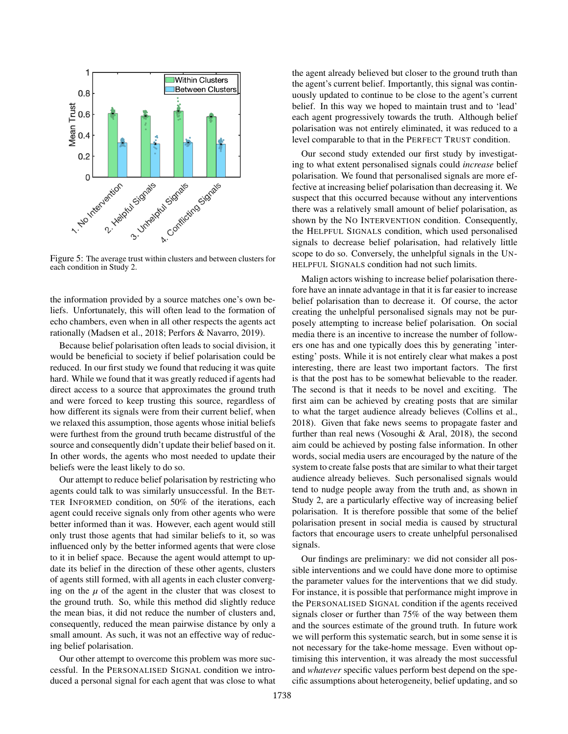

Figure 5: The average trust within clusters and between clusters for each condition in Study 2.

the information provided by a source matches one's own beliefs. Unfortunately, this will often lead to the formation of echo chambers, even when in all other respects the agents act rationally (Madsen et al., 2018; Perfors & Navarro, 2019).

Because belief polarisation often leads to social division, it would be beneficial to society if belief polarisation could be reduced. In our first study we found that reducing it was quite hard. While we found that it was greatly reduced if agents had direct access to a source that approximates the ground truth and were forced to keep trusting this source, regardless of how different its signals were from their current belief, when we relaxed this assumption, those agents whose initial beliefs were furthest from the ground truth became distrustful of the source and consequently didn't update their belief based on it. In other words, the agents who most needed to update their beliefs were the least likely to do so.

Our attempt to reduce belief polarisation by restricting who agents could talk to was similarly unsuccessful. In the BET-TER INFORMED condition, on 50% of the iterations, each agent could receive signals only from other agents who were better informed than it was. However, each agent would still only trust those agents that had similar beliefs to it, so was influenced only by the better informed agents that were close to it in belief space. Because the agent would attempt to update its belief in the direction of these other agents, clusters of agents still formed, with all agents in each cluster converging on the  $\mu$  of the agent in the cluster that was closest to the ground truth. So, while this method did slightly reduce the mean bias, it did not reduce the number of clusters and, consequently, reduced the mean pairwise distance by only a small amount. As such, it was not an effective way of reducing belief polarisation.

Our other attempt to overcome this problem was more successful. In the PERSONALISED SIGNAL condition we introduced a personal signal for each agent that was close to what the agent already believed but closer to the ground truth than the agent's current belief. Importantly, this signal was continuously updated to continue to be close to the agent's current belief. In this way we hoped to maintain trust and to 'lead' each agent progressively towards the truth. Although belief polarisation was not entirely eliminated, it was reduced to a level comparable to that in the PERFECT TRUST condition.

Our second study extended our first study by investigating to what extent personalised signals could *increase* belief polarisation. We found that personalised signals are more effective at increasing belief polarisation than decreasing it. We suspect that this occurred because without any interventions there was a relatively small amount of belief polarisation, as shown by the NO INTERVENTION condition. Consequently, the HELPFUL SIGNALS condition, which used personalised signals to decrease belief polarisation, had relatively little scope to do so. Conversely, the unhelpful signals in the UN-HELPFUL SIGNALS condition had not such limits.

Malign actors wishing to increase belief polarisation therefore have an innate advantage in that it is far easier to increase belief polarisation than to decrease it. Of course, the actor creating the unhelpful personalised signals may not be purposely attempting to increase belief polarisation. On social media there is an incentive to increase the number of followers one has and one typically does this by generating 'interesting' posts. While it is not entirely clear what makes a post interesting, there are least two important factors. The first is that the post has to be somewhat believable to the reader. The second is that it needs to be novel and exciting. The first aim can be achieved by creating posts that are similar to what the target audience already believes (Collins et al., 2018). Given that fake news seems to propagate faster and further than real news (Vosoughi & Aral, 2018), the second aim could be achieved by posting false information. In other words, social media users are encouraged by the nature of the system to create false posts that are similar to what their target audience already believes. Such personalised signals would tend to nudge people away from the truth and, as shown in Study 2, are a particularly effective way of increasing belief polarisation. It is therefore possible that some of the belief polarisation present in social media is caused by structural factors that encourage users to create unhelpful personalised signals.

Our findings are preliminary: we did not consider all possible interventions and we could have done more to optimise the parameter values for the interventions that we did study. For instance, it is possible that performance might improve in the PERSONALISED SIGNAL condition if the agents received signals closer or further than 75% of the way between them and the sources estimate of the ground truth. In future work we will perform this systematic search, but in some sense it is not necessary for the take-home message. Even without optimising this intervention, it was already the most successful and *whatever* specific values perform best depend on the specific assumptions about heterogeneity, belief updating, and so